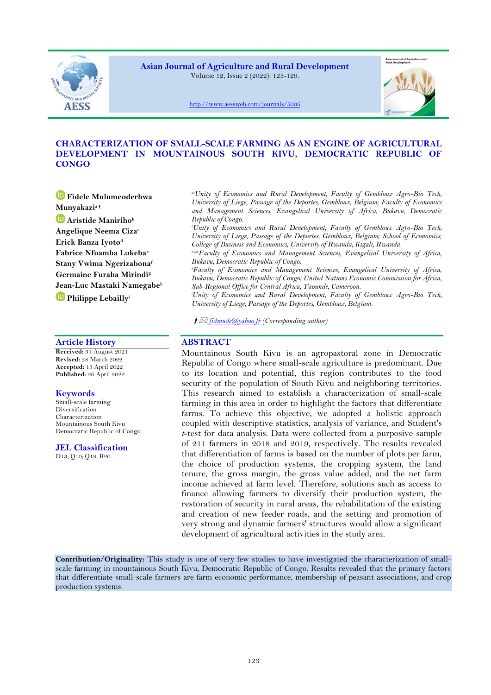

**Asian Journal of Agriculture and Rural Development** Volume 12, Issue 2 (2022): 123-129.



<http://www.aessweb.com/journals/5005>

# **CHARACTERIZATION OF SMALL-SCALE FARMING AS AN ENGINE OF AGRICULTURAL DEVELOPMENT IN MOUNTAINOUS SOUTH KIVU, DEMOCRATIC REPUBLIC OF CONGO**

**Fidele Mulumeoderhwa Munyakazi<sup>a</sup> Aristide Maniriho<sup>b</sup> Angelique Neema Ciza<sup>c</sup> Erick Banza Iyoto<sup>d</sup> Fabrice Nfuamba Lukeba<sup>e</sup> Stany Vwima Ngerizabona<sup>f</sup> Germaine Furaha Mirindi<sup>g</sup> Jean-Luc Mastaki Namegabe<sup>h</sup> Philippe Lebailly<sup>i</sup>**

## **Article History ABSTRACT**

**Received:** 31 August 2021 **Revised:** 28 March 2022 **Accepted:** 13 April 2022 **Published:** 26 April 2022

# **Keywords**

Small-scale farming Diversification Characterization Mountainous South Kivu Democratic Republic of Congo.

## **JEL Classification**

D13; Q10; Q18; R20.

*a,cUnity of Economics and Rural Development, Faculty of Gembloux Agro-Bio Tech, University of Liege, Passage of the Deportes, Gembloux, Belgium; Faculty of Economics and Management Sciences, Evangelical University of Africa, Bukavu, Democratic Republic of Congo.*

*<sup>b</sup>Unity of Economics and Rural Development, Faculty of Gembloux Agro-Bio Tech, University of Liege, Passage of the Deportes, Gembloux, Belgium; School of Economics, College of Business and Economics, University of Rwanda, Kigali, Rwanda.*

*d,e,f,gFaculty of Economics and Management Sciences, Evangelical University of Africa, Bukavu, Democratic Republic of Congo.*

*<sup>h</sup>Faculty of Economics and Management Sciences, Evangelical University of Africa, Bukavu, Democratic Republic of Congo; United Nations Economic Commission for Africa, Sub-Regional Office for Central Africa, Yaounde, Cameroon.*

*<sup>i</sup>Unity of Economics and Rural Development, Faculty of Gembloux Agro-Bio Tech, University of Liege, Passage of the Deportes, Gembloux, Belgium.*

*[fidmude@yahoo.fr](mailto:fidmude@yahoo.fr) (Corresponding author)*

Mountainous South Kivu is an agropastoral zone in Democratic Republic of Congo where small-scale agriculture is predominant. Due to its location and potential, this region contributes to the food security of the population of South Kivu and neighboring territories. This research aimed to establish a characterization of small-scale farming in this area in order to highlight the factors that differentiate farms. To achieve this objective, we adopted a holistic approach coupled with descriptive statistics, analysis of variance, and Student's *t*-test for data analysis. Data were collected from a purposive sample of 211 farmers in 2018 and 2019, respectively. The results revealed that differentiation of farms is based on the number of plots per farm, the choice of production systems, the cropping system, the land tenure, the gross margin, the gross value added, and the net farm income achieved at farm level. Therefore, solutions such as access to finance allowing farmers to diversify their production system, the restoration of security in rural areas, the rehabilitation of the existing and creation of new feeder roads, and the setting and promotion of very strong and dynamic farmers' structures would allow a significant development of agricultural activities in the study area.

**Contribution/Originality:** This study is one of very few studies to have investigated the characterization of smallscale farming in mountainous South Kivu, Democratic Republic of Congo. Results revealed that the primary factors that differentiate small-scale farmers are farm economic performance, membership of peasant associations, and crop production systems.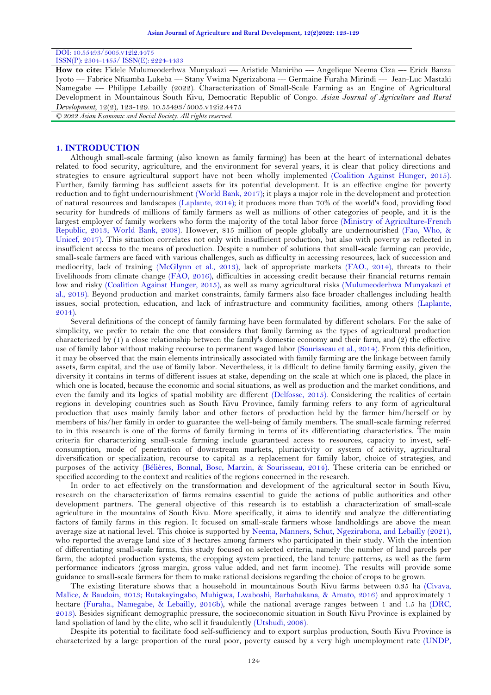# DOI: 10.55493/5005.v12i2.4475

ISSN(P): 2304-1455/ ISSN(E): 2224-4433

**How to cite:** Fidele Mulumeoderhwa Munyakazi --- Aristide Maniriho --- Angelique Neema Ciza --- Erick Banza Iyoto --- Fabrice Nfuamba Lukeba --- Stany Vwima Ngerizabona --- Germaine Furaha Mirindi --- Jean-Luc Mastaki Namegabe --- Philippe Lebailly (2022). Characterization of Small-Scale Farming as an Engine of Agricultural Development in Mountainous South Kivu, Democratic Republic of Congo. *Asian Journal of Agriculture and Rural Development*, 12(2), 123-129. 10.55493/5005.v12i2.4475

*© 2022 Asian Economic and Social Society. All rights reserved.*

#### **1. INTRODUCTION**

Although small-scale farming (also known as family farming) has been at the heart of international debates related to food security, agriculture, and the environment for several years, it is clear that policy directions and strategies to ensure agricultural support have not been wholly implemented [\(Coalition Against Hunger, 2015\)](#page-5-0). Further, family farming has sufficient assets for its potential development. It is an effective engine for poverty reduction and to fight undernourishment [\(World Bank, 2017\)](#page-6-0); it plays a major role in the development and protection of natural resources and landscapes [\(Laplante, 2014\)](#page-6-1); it produces more than 70% of the world's food, providing food security for hundreds of millions of family farmers as well as millions of other categories of people, and it is the largest employer of family workers who form the majority of the total labor force [\(Ministry of Agriculture-French](#page-6-2)  [Republic, 2013;](#page-6-2) [World Bank, 2008\)](#page-6-3). However, 815 million of people globally are undernourished [\(Fao, Who, &](#page-6-4)  [Unicef, 2017\)](#page-6-4). This situation correlates not only with insufficient production, but also with poverty as reflected in insufficient access to the means of production. Despite a number of solutions that small-scale farming can provide, small-scale farmers are faced with various challenges, such as difficulty in accessing resources, lack of succession and mediocrity, lack of training [\(McGlynn et al., 2013\)](#page-6-5), lack of appropriate markets [\(FAO., 2014\)](#page-5-1), threats to their livelihoods from climate change [\(FAO,](#page-6-6) 2016), difficulties in accessing credit because their financial returns remain low and risky [\(Coalition Against Hunger, 2015\)](#page-5-0), as well as many agricultural risks [\(Mulumeoderhwa Munyakazi et](#page-6-7)  [al., 2019\)](#page-6-7). Beyond production and market constraints, family farmers also face broader challenges including health issues, social protection, education, and lack of infrastructure and community facilities, among others [\(Laplante,](#page-6-1)  [2014\)](#page-6-1).

Several definitions of the concept of family farming have been formulated by different scholars. For the sake of simplicity, we prefer to retain the one that considers that family farming as the types of agricultural production characterized by (1) a close relationship between the family's domestic economy and their farm, and (2) the effective use of family labor without making recourse to permanent waged labor [\(Sourisseau et al., 2014\)](#page-6-8). From this definition, it may be observed that the main elements intrinsically associated with family farming are the linkage between family assets, farm capital, and the use of family labor. Nevertheless, it is difficult to define family farming easily, given the diversity it contains in terms of different issues at stake, depending on the scale at which one is placed, the place in which one is located, because the economic and social situations, as well as production and the market conditions, and even the family and its logics of spatial mobility are different [\(Delfosse, 2015\)](#page-5-2). Considering the realities of certain regions in developing countries such as South Kivu Province, family farming refers to any form of agricultural production that uses mainly family labor and other factors of production held by the farmer him/herself or by members of his/her family in order to guarantee the well-being of family members. The small-scale farming referred to in this research is one of the forms of family farming in terms of its differentiating characteristics. The main criteria for characterizing small-scale farming include guaranteed access to resources, capacity to invest, selfconsumption, mode of penetration of downstream markets, pluriactivity or system of activity, agricultural diversification or specialization, recourse to capital as a replacement for family labor, choice of strategies, and purposes of the activity [\(Bélières, Bonnal, Bosc, Marzin, & Sourisseau, 2014\)](#page-5-3). These criteria can be enriched or specified according to the context and realities of the regions concerned in the research.

In order to act effectively on the transformation and development of the agricultural sector in South Kivu, research on the characterization of farms remains essential to guide the actions of public authorities and other development partners. The general objective of this research is to establish a characterization of small-scale agriculture in the mountains of South Kivu. More specifically, it aims to identify and analyze the differentiating factors of family farms in this region. It focused on small-scale farmers whose landholdings are above the mean average size at national level. This choice is supported by [Neema, Manners, Schut, Ngezirabona, and Lebailly \(2021\)](#page-6-9), who reported the average land size of 3 hectares among farmers who participated in their study. With the intention of differentiating small-scale farms, this study focused on selected criteria, namely the number of land parcels per farm, the adopted production systems, the cropping system practiced, the land tenure patterns, as well as the farm performance indicators (gross margin, gross value added, and net farm income). The results will provide some guidance to small-scale farmers for them to make rational decisions regarding the choice of crops to be grown.

The existing literature shows that a household in mountainous South Kivu farms between 0.35 ha [\(Civava,](#page-5-4)  [Malice, & Baudoin, 2013;](#page-5-4) [Rutakayingabo, Muhigwa, Lwaboshi, Barhahakana, & Amato, 2016\)](#page-6-10) and approximately 1 hectare [\(Furaha., Namegabe, & Lebailly, 2016b\)](#page-6-11), while the national average ranges between 1 and 1.5 ha [\(DRC,](#page-5-5) [2013\)](#page-5-5). Besides significant demographic pressure, the socioeconomic situation in South Kivu Province is explained by land spoliation of land by the elite, who sell it fraudulently [\(Utshudi, 2008\)](#page-6-12).

Despite its potential to facilitate food self-sufficiency and to export surplus production, South Kivu Province is characterized by a large proportion of the rural poor, poverty caused by a very high unemployment rate [\(UNDP,](#page-6-13)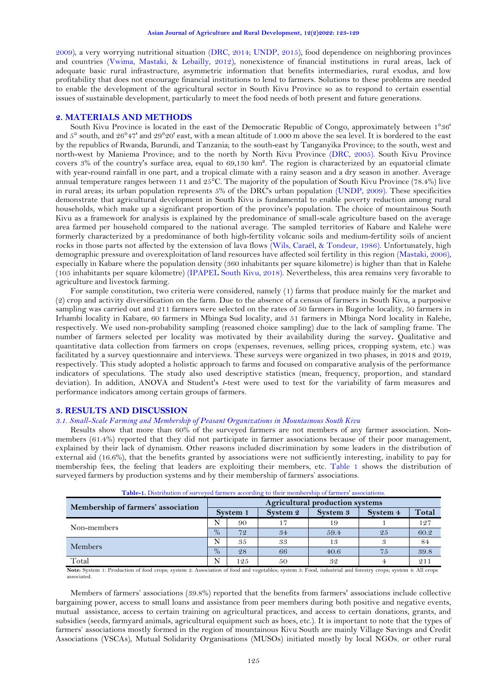[2009\)](#page-6-13), a very worrying nutritional situation [\(DRC, 2014;](#page-5-6) [UNDP, 2015\)](#page-6-14), food dependence on neighboring provinces and countries [\(Vwima, Mastaki, & Lebailly, 2012\)](#page-6-15), nonexistence of financial institutions in rural areas, lack of adequate basic rural infrastructure, asymmetric information that benefits intermediaries, rural exodus, and low profitability that does not encourage financial institutions to lend to farmers. Solutions to these problems are needed to enable the development of the agricultural sector in South Kivu Province so as to respond to certain essential issues of sustainable development, particularly to meet the food needs of both present and future generations.

#### **2. MATERIALS AND METHODS**

South Kivu Province is located in the east of the Democratic Republic of Congo, approximately between 1°36' and 5° south, and 26°47' and 29°20' east, with a mean altitude of 1.000 m above the sea level. It is bordered to the east by the republics of Rwanda, Burundi, and Tanzania; to the south-east by Tanganyika Province; to the south, west and north-west by Maniema Province; and to the north by North Kivu Province [\(DRC, 2005\)](#page-5-7). South Kivu Province covers 3% of the country's surface area, equal to 69,130 km². The region is characterized by an equatorial climate with year-round rainfall in one part, and a tropical climate with a rainy season and a dry season in another. Average annual temperature ranges between 11 and 25°C. The majority of the population of South Kivu Province (78.4%) live in rural areas; its urban population represents 5% of the DRC's urban population [\(UNDP, 2009\)](#page-6-13). These specificities demonstrate that agricultural development in South Kivu is fundamental to enable poverty reduction among rural households, which make up a significant proportion of the province's population. The choice of mountainous South Kivu as a framework for analysis is explained by the predominance of small-scale agriculture based on the average area farmed per household compared to the national average. The sampled territories of Kabare and Kalehe were formerly characterized by a predominance of both high-fertility volcanic soils and medium-fertility soils of ancient rocks in those parts not affected by the extension of lava flows [\(Wils, Caraël, & Tondeur, 1986\)](#page-6-16). Unfortunately, high demographic pressure and overexploitation of land resources have affected soil fertility in this region [\(Mastaki, 2006\)](#page-6-17), especially in Kabare where the population density (360 inhabitants per square kilometre) is higher than that in Kalehe (105 inhabitants per square kilometre) [\(IPAPEL South Kivu, 2018\)](#page-6-18). Nevertheless, this area remains very favorable to agriculture and livestock farming.

For sample constitution, two criteria were considered, namely (1) farms that produce mainly for the market and (2) crop and activity diversification on the farm. Due to the absence of a census of farmers in South Kivu, a purposive sampling was carried out and 211 farmers were selected on the rates of 50 farmers in Bugorhe locality, 50 farmers in Irhambi locality in Kabare, 60 farmers in Mbinga Sud locality, and 51 farmers in Mbinga Nord locality in Kalehe, respectively. We used non-probability sampling (reasoned choice sampling) due to the lack of sampling frame. The number of farmers selected per locality was motivated by their availability during the survey**.** Qualitative and quantitative data collection from farmers on crops (expenses, revenues, selling prices, cropping system, etc.) was facilitated by a survey questionnaire and interviews. These surveys were organized in two phases, in 2018 and 2019, respectively. This study adopted a holistic approach to farms and focused on comparative analysis of the performance indicators of speculations. The study also used descriptive statistics (mean, frequency, proportion, and standard deviation). In addition, ANOVA and Student's *t*-test were used to test for the variability of farm measures and performance indicators among certain groups of farmers.

## **3. RESULTS AND DISCUSSION**

## *3.1. Small-Scale Farming and Membership of Peasant Organizations in Mountainous South Kivu*

Results show that more than 60% of the surveyed farmers are not members of any farmer association. Nonmembers (61.4%) reported that they did not participate in farmer associations because of their poor management, explained by their lack of dynamism. Other reasons included discrimination by some leaders in the distribution of external aid (16.6%), that the benefits granted by associations were not sufficiently interesting, inability to pay for membership fees, the feeling that leaders are exploiting their members, etc. [Table 1](#page-2-0) shows the distribution of surveyed farmers by production systems and by their membership of farmers' associations.

<span id="page-2-0"></span>

| <b>Tuble 1:</b> Distribution of surveyou harmers according to their inchilocratile or harmers associations. |      |                                        |          |          |          |       |  |  |  |
|-------------------------------------------------------------------------------------------------------------|------|----------------------------------------|----------|----------|----------|-------|--|--|--|
| Membership of farmers' association                                                                          |      | <b>Agricultural production systems</b> |          |          |          |       |  |  |  |
|                                                                                                             |      | System 1                               | System 2 | System 3 | System 4 | Total |  |  |  |
| Non-members                                                                                                 |      | 90                                     |          | 19       |          | 127   |  |  |  |
|                                                                                                             | $\%$ | 72                                     | 34       | 59.4     | 25       | 60.2  |  |  |  |
| Members                                                                                                     |      | 35                                     | 33       | 13       |          | 84    |  |  |  |
|                                                                                                             | $\%$ | 28                                     | 66       | 40.6     | 75       | 39.8  |  |  |  |
| Total                                                                                                       | N    | 125                                    | 50       | 32       |          | 211   |  |  |  |

**Note:** System 1: Production of food crops; system 2: Association of food and vegetables; system 3: Food, industrial and forestry crops; system 4: All crops associated.

Members of farmers' associations (39.8%) reported that the benefits from farmers' associations include collective bargaining power, access to small loans and assistance from peer members during both positive and negative events, mutual assistance, access to certain training on agricultural practices, and access to certain donations, grants, and subsidies (seeds, farmyard animals, agricultural equipment such as hoes, etc.). It is important to note that the types of farmers' associations mostly formed in the region of mountainous Kivu South are mainly Village Savings and Credit Associations (VSCAs), Mutual Solidarity Organisations (MUSOs) initiated mostly by local NGOs, or other rural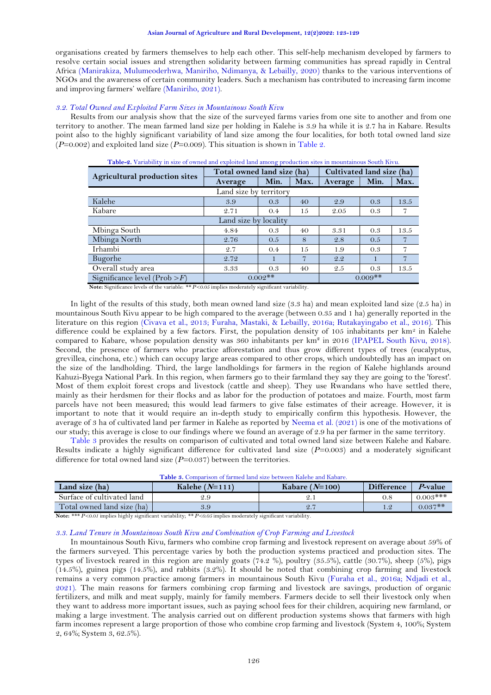organisations created by farmers themselves to help each other. This self-help mechanism developed by farmers to resolve certain social issues and strengthen solidarity between farming communities has spread rapidly in Central Africa [\(Manirakiza, Mulumeoderhwa, Maniriho, Ndimanya, & Lebailly, 2020\)](#page-6-19) thanks to the various interventions of NGOs and the awareness of certain community leaders. Such a mechanism has contributed to increasing farm income and improving farmers' welfare [\(Maniriho, 2021\)](#page-6-20).

#### *3.2. Total Owned and Exploited Farm Sizes in Mountainous South Kivu*

Results from our analysis show that the size of the surveyed farms varies from one site to another and from one territory to another. The mean farmed land size per holding in Kalehe is 3.9 ha while it is 2.7 ha in Kabare. Results point also to the highly significant variability of land size among the four localities, for both total owned land size  $(P=0.002)$  and exploited land size  $(P=0.009)$ . This situation is shown in [Table 2.](#page-3-0)

<span id="page-3-0"></span>

|                                 | Total owned land size (ha) | Cultivated land size (ha) |      |           |      |      |  |  |  |
|---------------------------------|----------------------------|---------------------------|------|-----------|------|------|--|--|--|
| Agricultural production sites   | Average                    | Min.                      | Max. | Average   | Min. | Max. |  |  |  |
| Land size by territory          |                            |                           |      |           |      |      |  |  |  |
| Kalehe                          | 3.9                        | 0.3                       | 40   | 2.9       | 0.3  | 13.5 |  |  |  |
| Kabare                          | 2.71                       | 0.4                       | 15   | 2.05      | 0.3  | 7    |  |  |  |
| Land size by locality           |                            |                           |      |           |      |      |  |  |  |
| Mbinga South                    | 4.84                       | 0.3                       | 40   | 3.31      | 0.3  | 13.5 |  |  |  |
| Mbinga North                    | 2.76                       | 0.5                       | 8    | 2.8       | 0.5  |      |  |  |  |
| Irhambi                         | 2.7                        | 0.4                       | 15   | 1.9       | 0.3  | 7    |  |  |  |
| Bugorhe                         | 2.72                       |                           | 7    | 2.2       |      | 7    |  |  |  |
| Overall study area              | 3.33                       | 0.3                       | 40   | 2.5       | 0.3  | 13.5 |  |  |  |
| Significance level (Prob $>$ F) | $0.002**$                  |                           |      | $0.009**$ |      |      |  |  |  |

**Table-2.** Variability in size of owned and exploited land among production sites in mountainous South Kivu.

**Note:** Significance levels of the variable: *\*\* P<0.05* implies moderately significant variability*.*

In light of the results of this study, both mean owned land size (3.3 ha) and mean exploited land size (2.5 ha) in mountainous South Kivu appear to be high compared to the average (between 0.35 and 1 ha) generally reported in the literature on this region [\(Civava et al., 2013;](#page-5-4) [Furaha, Mastaki, & Lebailly, 2016a;](#page-6-21) [Rutakayingabo et al., 2016\)](#page-6-10). This difference could be explained by a few factors. First, the population density of 105 inhabitants per km<sup>2</sup> in Kalehe compared to Kabare, whose population density was 360 inhabitants per km² in 2016 [\(IPAPEL South Kivu, 2018\)](#page-6-18). Second, the presence of farmers who practice afforestation and thus grow different types of trees (eucalyptus, grevillea, cinchona, etc.) which can occupy large areas compared to other crops, which undoubtedly has an impact on the size of the landholding. Third, the large landholdings for farmers in the region of Kalehe highlands around Kahuzi-Byega National Park. In this region, when farmers go to their farmland they say they are going to the 'forest'. Most of them exploit forest crops and livestock (cattle and sheep). They use Rwandans who have settled there, mainly as their herdsmen for their flocks and as labor for the production of potatoes and maize. Fourth, most farm parcels have not been measured; this would lead farmers to give false estimates of their acreage. However, it is important to note that it would require an in-depth study to empirically confirm this hypothesis. However, the average of 3 ha of cultivated land per farmer in Kalehe as reported by [Neema et al. \(2021\)](#page-6-9) is one of the motivations of our study; this average is close to our findings where we found an average of 2.9 ha per farmer in the same territory.

[Table 3](#page-3-1) provides the results on comparison of cultivated and total owned land size between Kalehe and Kabare. Results indicate a highly significant difference for cultivated land size (*P*=0.003) and a moderately significant difference for total owned land size (*P*=0.037) between the territories.

| <b>Table 3.</b> Comparison of farmed land size between Kalehe and Kabare. |  |
|---------------------------------------------------------------------------|--|
|---------------------------------------------------------------------------|--|

<span id="page-3-1"></span>

| Kalehe $(N=111)$ | Kabare $(N=100)$ | <b>Difference</b> | P-value     |
|------------------|------------------|-------------------|-------------|
| 2.9              | 4.1              |                   | $0.003$ *** |
| 3.9              |                  |                   | $0.037**$   |
|                  |                  | .                 |             |

**Note:** *\*\*\* P<0.01* implies highly significant variability; *\*\* P<0.05* implies moderately significant variability*.*

## *3.3. Land Tenure in Mountainous South Kivu and Combination of Crop Farming and Livestock*

In mountainous South Kivu, farmers who combine crop farming and livestock represent on average about 59% of the farmers surveyed. This percentage varies by both the production systems practiced and production sites. The types of livestock reared in this region are mainly goats (74.2 %), poultry (35.5%), cattle (30.7%), sheep (5%), pigs (14.5%), guinea pigs (14.5%), and rabbits (3.2%). It should be noted that combining crop farming and livestock remains a very common practice among farmers in mountainous South Kivu [\(Furaha et al., 2016a;](#page-6-21) [Ndjadi et al.,](#page-6-22)  [2021\)](#page-6-22). The main reasons for farmers combining crop farming and livestock are savings, production of organic fertilizers, and milk and meat supply, mainly for family members. Farmers decide to sell their livestock only when they want to address more important issues, such as paying school fees for their children, acquiring new farmland, or making a large investment. The analysis carried out on different production systems shows that farmers with high farm incomes represent a large proportion of those who combine crop farming and livestock (System 4, 100%; System 2, 64%; System 3, 62.5%).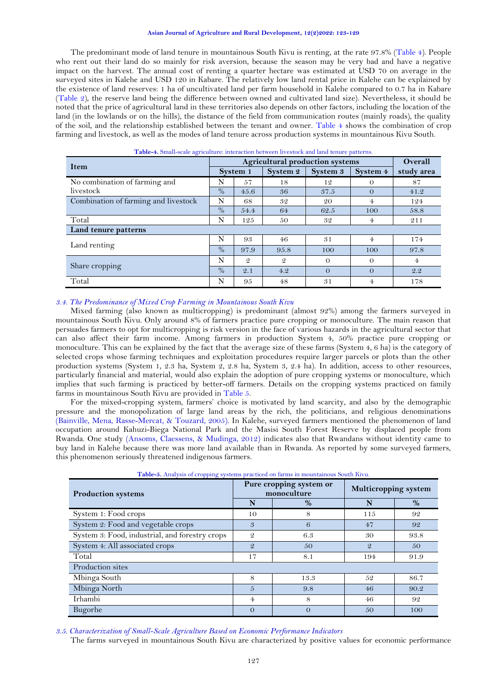#### **Asian Journal of Agriculture and Rural Development, 12(2)2022: 123-129**

The predominant mode of land tenure in mountainous South Kivu is renting, at the rate 97.8% [\(Table 4\)](#page-4-0). People who rent out their land do so mainly for risk aversion, because the season may be very bad and have a negative impact on the harvest. The annual cost of renting a quarter hectare was estimated at USD 70 on average in the surveyed sites in Kalehe and USD 120 in Kabare. The relatively low land rental price in Kalehe can be explained by the existence of land reserves: 1 ha of uncultivated land per farm household in Kalehe compared to 0.7 ha in Kabare [\(Table 2\)](#page-3-0), the reserve land being the difference between owned and cultivated land size). Nevertheless, it should be noted that the price of agricultural land in these territories also depends on other factors, including the location of the land (in the lowlands or on the hills), the distance of the field from communication routes (mainly roads), the quality of the soil, and the relationship established between the tenant and owner. [Table 4](#page-4-0) shows the combination of crop farming and livestock, as well as the modes of land tenure across production systems in mountainous Kivu South.

<span id="page-4-0"></span>

| Tuble 1: Official beare agriculture. Interaction between investors and hand tend e patterns. |      |                                        |               |          |                |            |  |  |
|----------------------------------------------------------------------------------------------|------|----------------------------------------|---------------|----------|----------------|------------|--|--|
| <b>Item</b>                                                                                  |      | <b>Agricultural production systems</b> |               |          |                |            |  |  |
|                                                                                              |      | System 1                               | System 2      | System 3 | System 4       | study area |  |  |
| No combination of farming and                                                                | N    | 57                                     | 18            | 12       | $\Omega$       | 87         |  |  |
| livestock                                                                                    | $\%$ | 45.6                                   | 36            | 37.5     | $\Omega$       | 41.2       |  |  |
| Combination of farming and livestock                                                         | N    | 68                                     | 32            | 20       | 4              | 124        |  |  |
|                                                                                              | $\%$ | 54.4                                   | 64            | 62.5     | 100            | 58.8       |  |  |
| Total                                                                                        | N    | 125                                    | 50            | 32       | 4              | 211        |  |  |
| Land tenure patterns                                                                         |      |                                        |               |          |                |            |  |  |
|                                                                                              | N    | 93                                     | 46            | 31       | $\overline{4}$ | 174        |  |  |
| Land renting                                                                                 |      | 97.9                                   | 95.8          | 100      | 100            | 97.8       |  |  |
|                                                                                              | N    | $\mathcal{Q}$                          | $\mathcal{Q}$ | $\Omega$ | $\Omega$       | $4\cdot$   |  |  |
| Share cropping                                                                               |      | 2.1                                    | 4.2           | $\Omega$ | $\Omega$       | 2.2        |  |  |
| Total                                                                                        | N    | 95                                     | 48            | 31       | 4              | 178        |  |  |

**Table-4.** Small-scale agriculture: interaction between livestock and land tenure patterns.

## *3.4. The Predominance of Mixed Crop Farming in Mountainous South Kivu*

Mixed farming (also known as multicropping) is predominant (almost 92%) among the farmers surveyed in mountainous South Kivu. Only around 8% of farmers practice pure cropping or monoculture. The main reason that persuades farmers to opt for multicropping is risk version in the face of various hazards in the agricultural sector that can also affect their farm income. Among farmers in production System 4, 50% practice pure cropping or monoculture. This can be explained by the fact that the average size of these farms (System 4, 6 ha) is the category of selected crops whose farming techniques and exploitation procedures require larger parcels or plots than the other production systems (System 1, 2.3 ha, System 2, 2.8 ha, System 3, 2.4 ha). In addition, access to other resources, particularly financial and material, would also explain the adoption of pure cropping systems or monoculture, which implies that such farming is practiced by better-off farmers. Details on the cropping systems practiced on family farms in mountainous South Kivu are provided in [Table 5.](#page-4-1)

For the mixed-cropping system, farmers' choice is motivated by land scarcity, and also by the demographic pressure and the monopolization of large land areas by the rich, the politicians, and religious denominations [\(Bainville, Mena, Rasse-Mercat, & Touzard, 2005\)](#page-5-8). In Kalehe, surveyed farmers mentioned the phenomenon of land occupation around Kahuzi-Biega National Park and the Masisi South Forest Reserve by displaced people from Rwanda. One study [\(Ansoms, Claessens, & Mudinga, 2012\)](#page-5-9) indicates also that Rwandans without identity came to buy land in Kalehe because there was more land available than in Rwanda. As reported by some surveyed farmers, this phenomenon seriously threatened indigenous farmers.

<span id="page-4-1"></span>

| <b>Production systems</b>                      |                | Pure cropping system or<br>monoculture | <b>Multicropping system</b> |      |  |
|------------------------------------------------|----------------|----------------------------------------|-----------------------------|------|--|
|                                                | N              | $\%$                                   | N                           | %    |  |
| System 1: Food crops                           | 10             | 8                                      | 115                         | 92   |  |
| System 2: Food and vegetable crops             | 3              | 6                                      | 47                          | 92   |  |
| System 3: Food, industrial, and forestry crops | $\overline{2}$ | 6.3                                    | 30                          | 93.8 |  |
| System 4: All associated crops                 | $\mathcal{Q}$  | 50                                     | $\mathcal{Q}$               | 50   |  |
| Total                                          | 17             | 8.1                                    | 194                         | 91.9 |  |
| Production sites                               |                |                                        |                             |      |  |
| Mbinga South                                   | 8              | 13.3                                   | 52                          | 86.7 |  |
| Mbinga North                                   | 5              | 9.8                                    | 46                          | 90.2 |  |
| Irhambi                                        | $\overline{4}$ | 8                                      | 46                          | 92   |  |
| Bugorhe                                        | $\Omega$       | $\Omega$                               | 50                          | 100  |  |

**Table-5.** Analysis of cropping systems practiced on farms in mountainous South Kivu.

*3.5. Characterization of Small-Scale Agriculture Based on Economic Performance Indicators* 

The farms surveyed in mountainous South Kivu are characterized by positive values for economic performance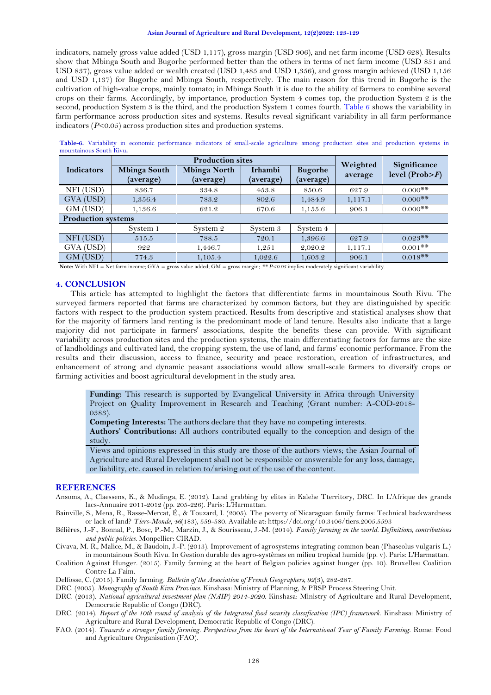#### **Asian Journal of Agriculture and Rural Development, 12(2)2022: 123-129**

indicators, namely gross value added (USD 1,117), gross margin (USD 906), and net farm income (USD 628). Results show that Mbinga South and Bugorhe performed better than the others in terms of net farm income (USD 851 and USD 837), gross value added or wealth created (USD 1,485 and USD 1,356), and gross margin achieved (USD 1,156 and USD 1,137) for Bugorhe and Mbinga South, respectively. The main reason for this trend in Bugorhe is the cultivation of high-value crops, mainly tomato; in Mbinga South it is due to the ability of farmers to combine several crops on their farms. Accordingly, by importance, production System 4 comes top, the production System 2 is the second, production System 3 is the third, and the production System 1 comes fourth. [Table 6](#page-5-10) shows the variability in farm performance across production sites and systems. Results reveal significant variability in all farm performance indicators (*P*<0.05) across production sites and production systems.

|                           |                                  | <b>Production sites</b>          | Weighted                    | Significance                |         |                    |  |
|---------------------------|----------------------------------|----------------------------------|-----------------------------|-----------------------------|---------|--------------------|--|
| <b>Indicators</b>         | <b>Mbinga South</b><br>(average) | <b>Mbinga North</b><br>(average) | <b>Irhambi</b><br>(average) | <b>Bugorhe</b><br>(average) | average | level $(Prob > F)$ |  |
| NFI (USD)                 | 836.7                            | 334.8                            | 453.8                       | 850.6                       | 627.9   | $0.000$ **         |  |
| GVA (USD)                 | 1,356.4                          | 783.2                            | 802.6                       | 1,484.9                     | 1,117.1 | $0.000$ **         |  |
| GM (USD)                  | 1,136.6                          | 621.2                            | 670.6                       | 1,155.6                     | 906.1   | $0.000$ **         |  |
| <b>Production systems</b> |                                  |                                  |                             |                             |         |                    |  |
|                           | System 1                         | System 2                         | System 3                    | System 4                    |         |                    |  |
| NFI (USD)                 | 515.5                            | 788.5                            | 720.1                       | 1,396.6                     | 627.9   | $0.023**$          |  |
| GVA (USD)                 | 922                              | 1,446.7                          | 1,251                       | 2,020.2                     | 1,117.1 | $0.001$ **         |  |
| GM (USD)                  | 774.3                            | 1,105.4                          | 1,022.6                     | 1,603.2                     | 906.1   | $0.018**$          |  |

<span id="page-5-10"></span>**Table-6.** Variability in economic performance indicators of small-scale agriculture among production sites and production systems in mountainous South Kivu**.**

**Note:** With NFI = Net farm income; GVA = gross value added; GM = gross margin; *\*\* P<0.05* implies moderately significant variability*.*

## **4. CONCLUSION**

This article has attempted to highlight the factors that differentiate farms in mountainous South Kivu. The surveyed farmers reported that farms are characterized by common factors, but they are distinguished by specific factors with respect to the production system practiced. Results from descriptive and statistical analyses show that for the majority of farmers land renting is the predominant mode of land tenure. Results also indicate that a large majority did not participate in farmers' associations, despite the benefits these can provide. With significant variability across production sites and the production systems, the main differentiating factors for farms are the size of landholdings and cultivated land, the cropping system, the use of land, and farms' economic performance. From the results and their discussion, access to finance, security and peace restoration, creation of infrastructures, and enhancement of strong and dynamic peasant associations would allow small-scale farmers to diversify crops or farming activities and boost agricultural development in the study area.

**Funding:** This research is supported by Evangelical University in Africa through University Project on Quality Improvement in Research and Teaching (Grant number: A-COD-2018- 0383).

**Competing Interests:** The authors declare that they have no competing interests.

**Authors' Contributions:** All authors contributed equally to the conception and design of the study.

Views and opinions expressed in this study are those of the authors views; the Asian Journal of Agriculture and Rural Development shall not be responsible or answerable for any loss, damage, or liability, etc. caused in relation to/arising out of the use of the content.

## **REFERENCES**

- <span id="page-5-9"></span>Ansoms, A., Claessens, K., & Mudinga, E. (2012). Land grabbing by elites in Kalehe Tterritory, DRC. In L'Afrique des grands lacs-Annuaire 2011-2012 (pp. 205-226). Paris: L'Harmattan.
- <span id="page-5-8"></span>Bainville, S., Mena, R., Rasse-Mercat, É., & Touzard, I. (2005). The poverty of Nicaraguan family farms: Technical backwardness or lack of land? *Tiers-Monde, 46*(183), 559-580. Available at: https://doi.org/10.3406/tiers.2005.5593
- <span id="page-5-3"></span>Bélières, J.-F., Bonnal, P., Bosc, P.-M., Marzin, J., & Sourisseau, J.-M. (2014). *Family farming in the world. Definitions, contributions and public policies*. Monpellier: CIRAD.

<span id="page-5-4"></span>Civava, M. R., Malice, M., & Baudoin, J.-P. (2013). Improvement of agrosystems integrating common bean (Phaseolus vulgaris L.) in mountainous South Kivu. In Gestion durable des agro-systèmes en milieu tropical humide (pp. v). Paris: L'Harmattan.

<span id="page-5-0"></span>Coalition Against Hunger. (2015). Family farming at the heart of Belgian policies against hunger (pp. 10). Bruxelles: Coalition Contre La Faim.

<span id="page-5-2"></span>Delfosse, C. (2015). Family farming. *Bulletin of the Association of French Geographers, 92*(3), 282-287.

<span id="page-5-7"></span>DRC. (2005). *Monography of South Kivu Province*. Kinshasa: Ministry of Planning, & PRSP Process Steering Unit.

- <span id="page-5-5"></span>DRC. (2013). *National agricultural investment plan (NAIP) 2014-2020*. Kinshasa: Ministry of Agriculture and Rural Development, Democratic Republic of Congo (DRC).
- <span id="page-5-6"></span>DRC. (2014). *Report of the 10th round of analysis of the Integrated food security classification (IPC) framework*. Kinshasa: Ministry of Agriculture and Rural Development, Democratic Republic of Congo (DRC).
- <span id="page-5-1"></span>FAO. (2014). *Towards a stronger family farming. Perspectives from the heart of the International Year of Family Farming*. Rome: Food and Agriculture Organisation (FAO).